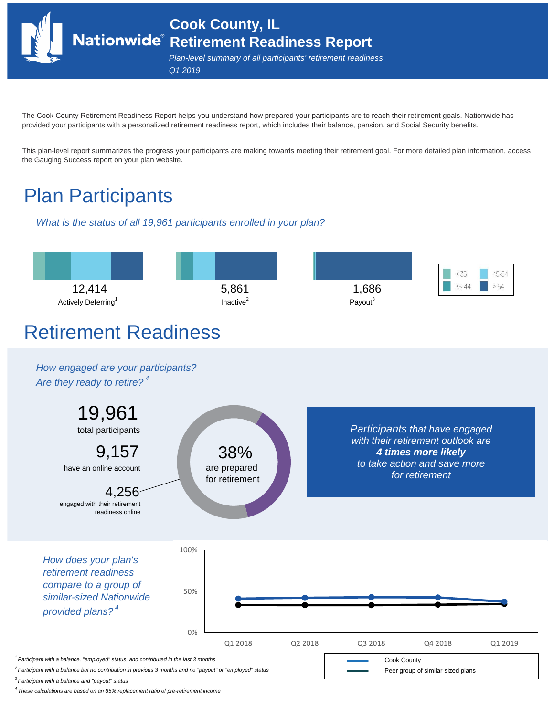**Cook County, IL Retirement Readiness Report**

*Plan-level summary of all participants' retirement readiness Q1 2019*

The Cook County Retirement Readiness Report helps you understand how prepared your participants are to reach their retirement goals. Nationwide has provided your participants with a personalized retirement readiness report, which includes their balance, pension, and Social Security benefits.

This plan-level report summarizes the progress your participants are making towards meeting their retirement goal. For more detailed plan information, access the Gauging Success report on your plan website.

# Plan Participants

*What is the status of all 19,961 participants enrolled in your plan?*



*3 Participant with a balance and "payout" status*

*4 These calculations are based on an 85% replacement ratio of pre-retirement income*